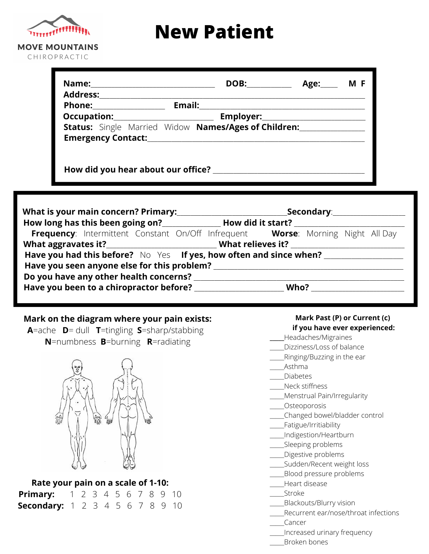

# **New Patient**

| <b>Address:</b>                                                                                                                                                                                                                     | Name: _______________ | DOB:                                                               | Age: MF |
|-------------------------------------------------------------------------------------------------------------------------------------------------------------------------------------------------------------------------------------|-----------------------|--------------------------------------------------------------------|---------|
| <b>Phone:</b> Phone and Phone and Phone and Phone and Phone and Phone and Phone and Phone and Phone and Phone and Phone and Phone and Phone and Phone and Phone and Phone and Phone and Phone and Phone and Phone and Phone and Pho |                       | <b>Email:</b>                                                      |         |
|                                                                                                                                                                                                                                     |                       | Employer: _________________________                                |         |
| <b>Emergency Contact:</b>                                                                                                                                                                                                           |                       | <b>Status:</b> Single Married Widow <b>Names/Ages of Children:</b> |         |

|                                                                    | <b>Secondary:</b> and the secondary:                                            |  |  |  |  |  |  |
|--------------------------------------------------------------------|---------------------------------------------------------------------------------|--|--|--|--|--|--|
|                                                                    | How long has this been going on?<br>How did it start?                           |  |  |  |  |  |  |
|                                                                    | Frequency: Intermittent Constant On/Off Infrequent Worse: Morning Night All Day |  |  |  |  |  |  |
|                                                                    |                                                                                 |  |  |  |  |  |  |
| Have you had this before? No Yes If yes, how often and since when? |                                                                                 |  |  |  |  |  |  |
| Have you seen anyone else for this problem?                        |                                                                                 |  |  |  |  |  |  |
|                                                                    |                                                                                 |  |  |  |  |  |  |
| Have you been to a chiropractor before?                            | Who?                                                                            |  |  |  |  |  |  |

#### **Mark on the diagram where your pain exists:**

**A**=ache **D**= dull **T**=tingling **S**=sharp/stabbing **N**=numbness **B**=burning **R**=radiating



### **Rate your pain on a scale of 1-10:**

| <b>Primary:</b> 1 2 3 4 5 6 7 8 9 10   |  |  |  |  |  |
|----------------------------------------|--|--|--|--|--|
| <b>Secondary:</b> 1 2 3 4 5 6 7 8 9 10 |  |  |  |  |  |

#### **Mark Past (P) or Current (c) if you have ever experienced:**

- **\_\_\_\_\_**Headaches/Migraines
- \_\_\_\_\_Dizziness/Loss of balance
- \_\_\_\_\_Ringing/Buzzing in the ear
- \_\_\_\_\_Asthma
- \_\_\_\_\_Diabetes
- \_\_\_\_\_Neck stiffness
- \_\_\_\_\_Menstrual Pain/Irregularity
- \_\_\_\_\_Osteoporosis
- \_\_\_\_\_Changed bowel/bladder control
- \_\_\_\_\_Fatigue/Irritiability
- \_\_\_\_\_Indigestion/Heartburn
- \_\_\_\_Sleeping problems
- \_\_\_\_\_Digestive problems
- \_\_\_\_Sudden/Recent weight loss
- Blood pressure problems
- \_\_\_\_\_Heart disease
- \_\_\_\_\_Stroke
- \_\_\_\_\_Blackouts/Blurry vision
- \_\_\_\_\_Recurrent ear/nose/throat infections
- \_\_\_\_\_Cancer
- \_\_\_\_\_Increased urinary frequency
- \_\_\_\_\_Broken bones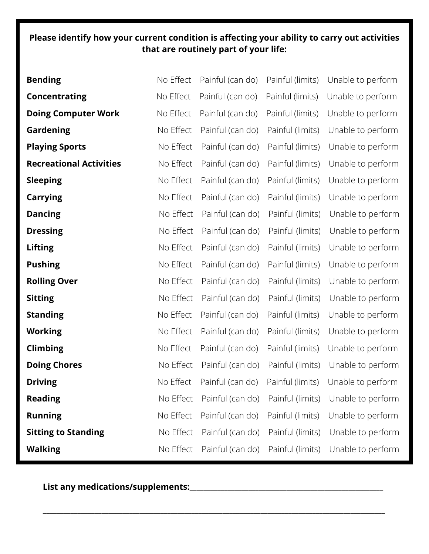### **Please identify how your current condition is affecting your ability to carry out activities that are routinely part of your life:**

| <b>Bending</b>                 | No Effect | Painful (can do) | Painful (limits) | Unable to perform |
|--------------------------------|-----------|------------------|------------------|-------------------|
| <b>Concentrating</b>           | No Effect | Painful (can do) | Painful (limits) | Unable to perform |
| <b>Doing Computer Work</b>     | No Effect | Painful (can do) | Painful (limits) | Unable to perform |
| Gardening                      | No Effect | Painful (can do) | Painful (limits) | Unable to perform |
| <b>Playing Sports</b>          | No Effect | Painful (can do) | Painful (limits) | Unable to perform |
| <b>Recreational Activities</b> | No Effect | Painful (can do) | Painful (limits) | Unable to perform |
| <b>Sleeping</b>                | No Effect | Painful (can do) | Painful (limits) | Unable to perform |
| <b>Carrying</b>                | No Effect | Painful (can do) | Painful (limits) | Unable to perform |
| <b>Dancing</b>                 | No Effect | Painful (can do) | Painful (limits) | Unable to perform |
| <b>Dressing</b>                | No Effect | Painful (can do) | Painful (limits) | Unable to perform |
| <b>Lifting</b>                 | No Effect | Painful (can do) | Painful (limits) | Unable to perform |
| <b>Pushing</b>                 | No Effect | Painful (can do) | Painful (limits) | Unable to perform |
| <b>Rolling Over</b>            | No Effect | Painful (can do) | Painful (limits) | Unable to perform |
| <b>Sitting</b>                 | No Effect | Painful (can do) | Painful (limits) | Unable to perform |
| <b>Standing</b>                | No Effect | Painful (can do) | Painful (limits) | Unable to perform |
| <b>Working</b>                 | No Effect | Painful (can do) | Painful (limits) | Unable to perform |
| <b>Climbing</b>                | No Effect | Painful (can do) | Painful (limits) | Unable to perform |
| <b>Doing Chores</b>            | No Effect | Painful (can do) | Painful (limits) | Unable to perform |
| <b>Driving</b>                 | No Effect | Painful (can do) | Painful (limits) | Unable to perform |
| <b>Reading</b>                 | No Effect | Painful (can do) | Painful (limits) | Unable to perform |
| <b>Running</b>                 | No Effect | Painful (can do) | Painful (limits) | Unable to perform |
| <b>Sitting to Standing</b>     | No Effect | Painful (can do) | Painful (limits) | Unable to perform |
| <b>Walking</b>                 | No Effect | Painful (can do) | Painful (limits) | Unable to perform |

\_\_\_\_\_\_\_\_\_\_\_\_\_\_\_\_\_\_\_\_\_\_\_\_\_\_\_\_\_\_\_\_\_\_\_\_\_\_\_\_\_\_\_\_\_\_\_\_\_\_\_\_\_\_\_\_\_\_\_\_\_\_\_\_\_\_\_\_\_\_\_\_\_\_\_\_\_\_\_\_\_\_\_\_\_\_\_\_\_\_\_\_\_\_\_\_\_\_\_ \_\_\_\_\_\_\_\_\_\_\_\_\_\_\_\_\_\_\_\_\_\_\_\_\_\_\_\_\_\_\_\_\_\_\_\_\_\_\_\_\_\_\_\_\_\_\_\_\_\_\_\_\_\_\_\_\_\_\_\_\_\_\_\_\_\_\_\_\_\_\_\_\_\_\_\_\_\_\_\_\_\_\_\_\_\_\_\_\_\_\_\_\_\_\_\_\_\_\_

**List any medications/supplements:**\_\_\_\_\_\_\_\_\_\_\_\_\_\_\_\_\_\_\_\_\_\_\_\_\_\_\_\_\_\_\_\_\_\_\_\_\_\_\_\_\_\_\_\_\_\_\_\_\_\_\_\_\_\_\_\_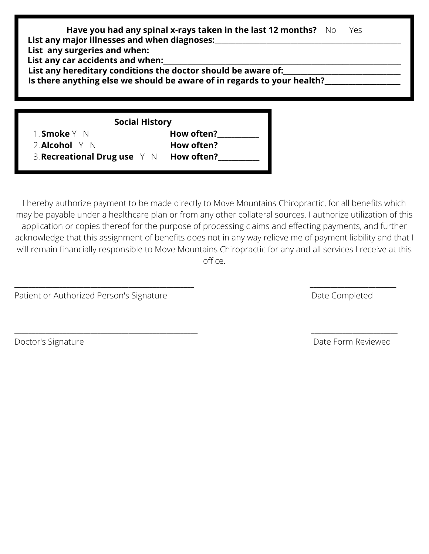|                                                                  | Have you had any spinal x-rays taken in the last 12 months? No Yes<br>List any major illnesses and when diagnoses:                       |  |  |
|------------------------------------------------------------------|------------------------------------------------------------------------------------------------------------------------------------------|--|--|
| List any surgeries and when:<br>List any car accidents and when: |                                                                                                                                          |  |  |
|                                                                  | List any hereditary conditions the doctor should be aware of:<br>Is there anything else we should be aware of in regards to your health? |  |  |
|                                                                  | <b>Social History</b>                                                                                                                    |  |  |
| <b>Smoke</b>                                                     | How often?                                                                                                                               |  |  |

**Alcohol** Y N **How often?**\_\_\_\_\_\_\_\_\_\_\_\_ 2. **Recreational Drug use** Y N **How often?**\_\_\_\_\_\_\_\_\_\_\_\_ 3.

I hereby authorize payment to be made directly to Move Mountains Chiropractic, for all benefits which may be payable under a healthcare plan or from any other collateral sources. I authorize utilization of this application or copies thereof for the purpose of processing claims and effecting payments, and further acknowledge that this assignment of benefits does not in any way relieve me of payment liability and that I will remain financially responsible to Move Mountains Chiropractic for any and all services I receive at this office.

\_\_\_\_\_\_\_\_\_\_\_\_\_\_\_\_\_\_\_\_\_\_\_\_\_\_\_\_\_\_\_\_\_\_\_\_\_\_\_\_\_\_\_\_\_\_\_\_\_\_\_\_ \_\_\_\_\_\_\_\_\_\_\_\_\_\_\_\_\_\_\_\_\_\_\_\_\_

\_\_\_\_\_\_\_\_\_\_\_\_\_\_\_\_\_\_\_\_\_\_\_\_\_\_\_\_\_\_\_\_\_\_\_\_\_\_\_\_\_\_\_\_\_\_\_\_\_\_\_\_\_ \_\_\_\_\_\_\_\_\_\_\_\_\_\_\_\_\_\_\_\_\_\_\_\_\_

Patient or Authorized Person's Signature **Date Completed** Date Completed

Doctor's Signature **Date Form Reviewed**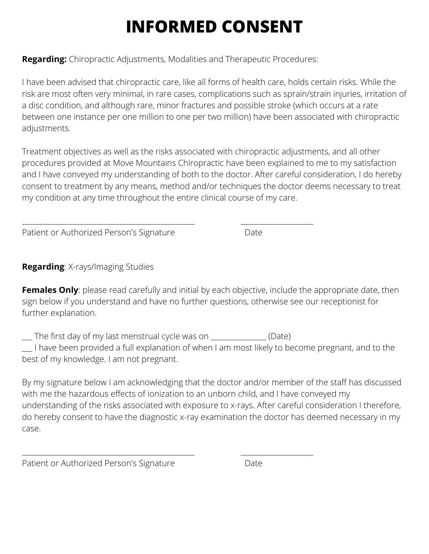# **INFORMED CONSENT**

**Regarding:** Chiropractic Adjustments, Modalities and Therapeutic Procedures:

\_\_\_\_\_\_\_\_\_\_\_\_\_\_\_\_\_\_\_\_\_\_\_\_\_\_\_\_\_\_\_\_\_\_\_\_\_\_\_\_\_\_\_\_\_\_\_\_\_\_ \_\_\_\_\_\_\_\_\_\_\_\_\_\_\_\_\_\_\_\_\_

I have been advised that chiropractic care, like all forms of health care, holds certain risks. While the risk are most often very minimal, in rare cases, complications such as sprain/strain injuries, irritation of a disc condition, and although rare, minor fractures and possible stroke (which occurs at a rate between one instance per one million to one per two million) have been associated with chiropractic adjustments.

Treatment objectives as well as the risks associated with chiropractic adjustments, and all other procedures provided at Move Mountains Chiropractic have been explained to me to my satisfaction and I have conveyed my understanding of both to the doctor. After careful consideration, I do hereby consent to treatment by any means, method and/or techniques the doctor deems necessary to treat my condition at any time throughout the entire clinical course of my care.

Patient or Authorized Person's Signature Date

**Regarding**: X-rays/Imaging Studies

**Females Only**: please read carefully and initial by each objective, include the appropriate date, then sign below if you understand and have no further questions, otherwise see our receptionist for further explanation.

\_\_\_ The first day of my last menstrual cycle was on \_\_\_\_\_\_\_\_\_\_\_\_\_\_\_\_ (Date)

\_\_\_\_\_\_\_\_\_\_\_\_\_\_\_\_\_\_\_\_\_\_\_\_\_\_\_\_\_\_\_\_\_\_\_\_\_\_\_\_\_\_\_\_\_\_\_\_\_\_ \_\_\_\_\_\_\_\_\_\_\_\_\_\_\_\_\_\_\_\_\_

\_\_\_ I have been provided a full explanation of when I am most likely to become pregnant, and to the best of my knowledge. I am not pregnant.

By my signature below I am acknowledging that the doctor and/or member of the staff has discussed with me the hazardous effects of ionization to an unborn child, and I have conveyed my understanding of the risks associated with exposure to x-rays. After careful consideration I therefore, do hereby consent to have the diagnostic x-ray examination the doctor has deemed necessary in my case.

Patient or Authorized Person's Signature Theorem Date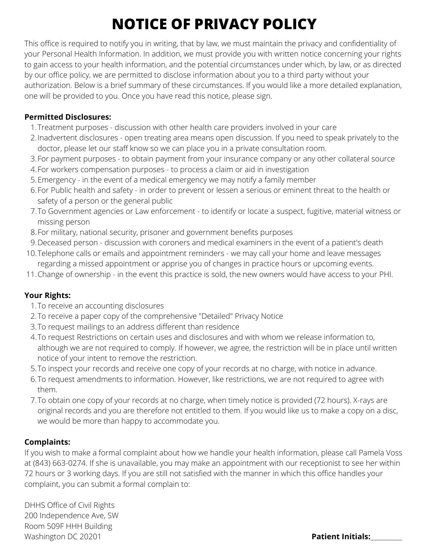## **NOTICE OF PRIVACY POLICY**

This office is required to notify you in writing, that by law, we must maintain the privacy and confidentiality of your Personal Health Information. In addition, we must provide you with written notice concerning your rights to gain access to your health information, and the potential circumstances under which, by law, or as directed by our office policy, we are permitted to disclose information about you to a third party without your authorization. Below is a brief summary of these circumstances. If you would like a more detailed explanation, one will be provided to you. Once you have read this notice, please sign.

### **Permitted Disclosures:**

- Treatment purposes discussion with other health care providers involved in your care 1.
- Inadvertent disclosures open treating area means open discussion. If you need to speak privately to the 2. doctor, please let our staff know so we can place you in a private consultation room.
- 3.For payment purposes to obtain payment from your insurance company or any other collateral source
- For workers compensation purposes to process a claim or aid in investigation 4.
- Emergency in the event of a medical emergency we may notify a family member 5.
- For Public health and safety in order to prevent or lessen a serious or eminent threat to the health or 6. safety of a person or the general public
- To Government agencies or Law enforcement to identify or locate a suspect, fugitive, material witness or 7. missing person
- For military, national security, prisoner and government benefits purposes 8.
- Deceased person discussion with coroners and medical examiners in the event of a patient's death 9.
- 10.Telephone calls or emails and appointment reminders we may call your home and leave messages regarding a missed appointment or apprise you of changes in practice hours or upcoming events.
- Change of ownership in the event this practice is sold, the new owners would have access to your PHI. 11.

### **Your Rights:**

- 1. To receive an accounting disclosures
- 2. To receive a paper copy of the comprehensive "Detailed" Privacy Notice
- To request mailings to an address different than residence 3.
- To request Restrictions on certain uses and disclosures and with whom we release information to, 4. although we are not required to comply. If however, we agree, the restriction will be in place until written notice of your intent to remove the restriction.
- 5. To inspect your records and receive one copy of your records at no charge, with notice in advance.
- 6. To request amendments to information. However, like restrictions, we are not required to agree with them.
- To obtain one copy of your records at no charge, when timely notice is provided (72 hours). X-rays are 7. original records and you are therefore not entitled to them. If you would like us to make a copy on a disc, we would be more than happy to accommodate you.

### **Complaints:**

If you wish to make a formal complaint about how we handle your health information, please call Pamela Voss at (843) 663-0274. If she is unavailable, you may make an appointment with our receptionist to see her within 72 hours or 3 working days. If you are still not satisfied with the manner in which this office handles your complaint, you can submit a formal complain to:

DHHS Office of Civil Rights 200 Independence Ave, SW Room 509F HHH Building Washington DC 20201 **Patient Initials:**\_\_\_\_\_\_\_\_\_\_